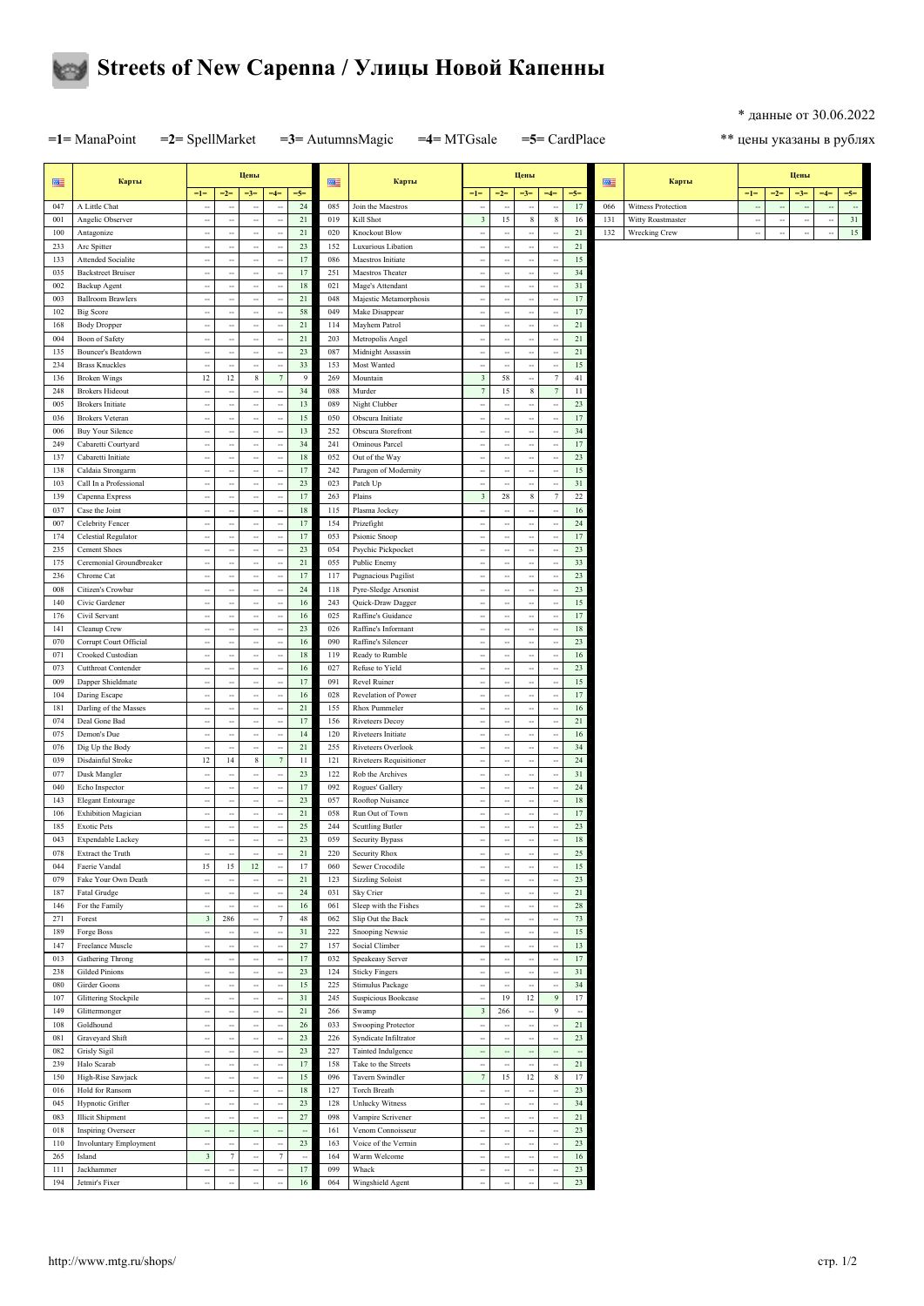

**=1=** ManaPoint **=2=** SpellMarket **=3=** AutumnsMagic **=4=** MTGsale **=5=** CardPlace

\* данные от 30.06.2022

\*\* цены указаны в рублях

| 匷          | Карты                                             | Цены                                                 |                                                      |                                     |                                                  |                          | 匷          | Карты                                         | Цены                                                 |                                                      |                                                  |                                    |                                | 匷   | Карты              |                          | Цены                     |                      |            |                               |  |
|------------|---------------------------------------------------|------------------------------------------------------|------------------------------------------------------|-------------------------------------|--------------------------------------------------|--------------------------|------------|-----------------------------------------------|------------------------------------------------------|------------------------------------------------------|--------------------------------------------------|------------------------------------|--------------------------------|-----|--------------------|--------------------------|--------------------------|----------------------|------------|-------------------------------|--|
| 047        | A Little Chat                                     | $=1=$<br>$\ddot{\phantom{a}}$                        | $=2=$<br>н.                                          | $=3=$<br>$\sim$                     | $=4=$<br>$\ddot{\phantom{0}}$                    | $=5=$<br>$24\,$          | 085        | Join the Maestros                             | $=1=$<br>۰.                                          | $=2=$<br>$\overline{\phantom{a}}$                    | $=3=$<br>$\overline{\phantom{a}}$                | $=4=$<br>٠.                        | $=5=$<br>17                    | 066 | Witness Protection | $=1=$<br>٠.              | $=2=$<br>$\sim$          | $=3=$<br>ц,          | $=4=$<br>÷ | $=5=$<br>$\ddot{\phantom{a}}$ |  |
| 001        | Angelic Observer                                  | $\overline{\phantom{a}}$                             | $\overline{\phantom{a}}$                             | $\overline{\phantom{a}}$            | $\sim$                                           | 21                       | 019        | Kill Shot                                     | $\overline{\mathbf{3}}$                              | 15                                                   | 8                                                | 8                                  | 16                             | 131 | Witty Roastmaster  | $\overline{\phantom{a}}$ | $\overline{\phantom{a}}$ | $\ddot{\phantom{a}}$ | $\sim$     | 31                            |  |
| 100        | Antagonize                                        | ٠.                                                   | $\overline{\phantom{a}}$                             | $\ddot{\phantom{a}}$                | $\overline{\phantom{a}}$                         | 21                       | 020        | Knockout Blow                                 | ۰.                                                   | $\ddot{\phantom{a}}$                                 | ۰.                                               | $\overline{\phantom{a}}$           | 21                             | 132 | Wrecking Crew      | ÷                        |                          | ÷                    | ÷          | $15\,$                        |  |
| 233<br>133 | Arc Spitter                                       | $\overline{\phantom{a}}$                             | ÷.<br>$\overline{\phantom{a}}$                       | $\sim$<br>4                         | $\sim$<br>$\sim$                                 | $23\,$<br>17             | 152        | Luxurious Libation<br>Maestros Initiate       |                                                      | $\sim$<br>$\overline{\phantom{a}}$                   | ÷.<br>$\ddot{\phantom{a}}$                       | ٠.<br>$\sim$                       | 21<br>15                       |     |                    |                          |                          |                      |            |                               |  |
| 035        | Attended Socialite<br><b>Backstreet Bruiser</b>   | <br>$\overline{\phantom{a}}$                         | $\ddot{\phantom{0}}$                                 |                                     | ÷                                                | 17                       | 086<br>251 | Maestros Theater                              | $\overline{\phantom{a}}$<br>$\ddot{\phantom{a}}$     | $\ddot{\phantom{a}}$                                 |                                                  |                                    | 34                             |     |                    |                          |                          |                      |            |                               |  |
| 002        | Backup Agent                                      | ٠.                                                   | $\overline{\phantom{a}}$                             | $\sim$                              | $\ddot{\phantom{0}}$                             | 18                       | 021        | Mage's Attendant                              | $\overline{\phantom{a}}$                             | $\overline{\phantom{a}}$                             | $\overline{\phantom{a}}$                         | $\sim$                             | 31                             |     |                    |                          |                          |                      |            |                               |  |
| 003        | <b>Ballroom Brawlers</b>                          | --                                                   | $\overline{\phantom{a}}$                             | $\sim$                              | $\ddot{\phantom{0}}$                             | 21                       | 048        | Majestic Metamorphosis                        | ÷.                                                   | $\overline{\phantom{a}}$                             | $\sim$                                           | $\sim$                             | 17                             |     |                    |                          |                          |                      |            |                               |  |
| 102        | <b>Big Score</b>                                  | ۰.                                                   | $\overline{\phantom{a}}$                             | $\ddot{\phantom{a}}$                | $\overline{\phantom{a}}$                         | 58                       | 049        | Make Disappear                                | н,                                                   | $\overline{\phantom{a}}$                             | ۰.                                               | $\overline{\phantom{a}}$           | $17\,$                         |     |                    |                          |                          |                      |            |                               |  |
| 168<br>004 | <b>Body Dropper</b>                               | $\overline{\phantom{a}}$<br>$\overline{\phantom{a}}$ | $\ddot{\phantom{a}}$<br>$\sim$                       | $\sim$<br>$\sim$                    | ÷.<br>$\ddot{\phantom{0}}$                       | 21<br>21                 | 114        | Mayhem Patrol<br>Metropolis Angel             |                                                      | ÷.<br>$\ddot{\phantom{a}}$                           | $\sim$                                           | ٠.<br>$\sim$                       | $21\,$<br>21                   |     |                    |                          |                          |                      |            |                               |  |
| 135        | Boon of Safety<br>Bouncer's Beatdown              | --                                                   | $\overline{\phantom{a}}$                             | 4                                   | $\ddot{\phantom{0}}$                             | 23                       | 203<br>087 | Midnight Assassin                             | <br>$\overline{\phantom{a}}$                         | $\overline{\phantom{a}}$                             | $\ddot{\phantom{a}}$<br>$\ddot{\phantom{a}}$     | $\sim$                             | 21                             |     |                    |                          |                          |                      |            |                               |  |
| 234        | <b>Brass Knuckles</b>                             | ۰.                                                   | $\sim$                                               | $\sim$                              | $\overline{\phantom{a}}$                         | 33                       | 153        | Most Wanted                                   | $\overline{\phantom{a}}$                             | $\ddot{\phantom{a}}$                                 | ٠.                                               | $\overline{\phantom{a}}$           | 15                             |     |                    |                          |                          |                      |            |                               |  |
| 136        | <b>Broken Wings</b>                               | 12                                                   | 12                                                   | $\,$ 8 $\,$                         | $\overline{7}$                                   | 9                        | 269        | Mountain                                      | $\overline{\mathbf{3}}$                              | 58                                                   | $\ddot{\phantom{a}}$                             | $7\phantom{.0}$                    | 41                             |     |                    |                          |                          |                      |            |                               |  |
| 248        | <b>Brokers Hideout</b>                            | ۰.                                                   | $\overline{\phantom{a}}$                             | $\ddot{\phantom{a}}$                | $\overline{\phantom{a}}$                         | 34                       | 088        | Murder                                        | $\overline{7}$                                       | 15                                                   | 8                                                | $\overline{7}$                     | $11\,$                         |     |                    |                          |                          |                      |            |                               |  |
| 005<br>036 | <b>Brokers</b> Initiate<br><b>Brokers</b> Veteran | <br>$\overline{\phantom{a}}$                         | ÷<br>$\overline{\phantom{a}}$                        | $\ddot{\phantom{0}}$<br>÷.          | ÷<br>$\overline{\phantom{a}}$                    | 13<br>15                 | 089<br>050 | Night Clubber<br>Obscura Initiate             | <br>$\overline{\phantom{a}}$                         | ÷.<br>$\overline{\phantom{a}}$                       | $\ddot{\phantom{a}}$                             | ٠.                                 | $23\,$<br>17                   |     |                    |                          |                          |                      |            |                               |  |
| 006        | Buy Your Silence                                  |                                                      | $\overline{\phantom{a}}$                             | $\ddot{\phantom{a}}$                | ÷                                                | 13                       | 252        | Obscura Storefront                            | ÷.                                                   | $\ddot{\phantom{a}}$                                 | $\ddot{\phantom{a}}$                             | $\sim$                             | 34                             |     |                    |                          |                          |                      |            |                               |  |
| 249        | Cabaretti Courtyard                               |                                                      | $\overline{\phantom{a}}$                             | $\sim$                              | $\overline{\phantom{a}}$                         | 34                       | 241        | Ominous Parcel                                |                                                      | $\overline{\phantom{a}}$                             | $\ddot{\phantom{a}}$                             | $\sim$                             | 17                             |     |                    |                          |                          |                      |            |                               |  |
| 137        | Cabaretti Initiate                                | $\ddot{\phantom{a}}$                                 | $\ddot{\phantom{a}}$                                 | $\sim$                              | $\ddot{\phantom{0}}$                             | 18                       | 052        | Out of the Way                                | $\ddot{\phantom{a}}$                                 | $\overline{\phantom{a}}$                             | $\overline{\phantom{a}}$                         | ٠.                                 | 23                             |     |                    |                          |                          |                      |            |                               |  |
| 138        | Caldaia Strongarm                                 |                                                      | $\ddot{\phantom{a}}$                                 | $\overline{\phantom{a}}$            | $\overline{\phantom{a}}$                         | 17                       | 242        | Paragon of Modernity                          |                                                      | $\overline{\phantom{a}}$                             | $\ddot{\phantom{a}}$                             | $\sim$                             | 15                             |     |                    |                          |                          |                      |            |                               |  |
| 103        | Call In a Professional                            |                                                      | $\overline{\phantom{a}}$                             | $\ddot{\phantom{a}}$                | ÷                                                | $23\,$                   | 023        | Patch Up                                      |                                                      | $\sim$                                               |                                                  |                                    | $31\,$                         |     |                    |                          |                          |                      |            |                               |  |
| 139<br>037 | Capenna Express<br>Case the Joint                 | --<br>                                               | $\sim$<br>$\ddot{\phantom{a}}$                       | $\sim$<br>4                         | $\ddot{\phantom{0}}$<br>$\ddot{\phantom{0}}$     | 17<br>18                 | 263<br>115 | Plains<br>Plasma Jockey                       | $\overline{\mathbf{3}}$<br>                          | $28\,$<br>$\ddot{\phantom{a}}$                       | 8<br>$\ddot{\phantom{a}}$                        | $\overline{7}$<br>$\sim$           | 22<br>16                       |     |                    |                          |                          |                      |            |                               |  |
| 007        | Celebrity Fencer                                  | ۰.                                                   | $\sim$                                               | ÷.                                  | $\ddot{\phantom{0}}$                             | 17                       | 154        | Prizefight                                    |                                                      | $\ddot{\phantom{a}}$                                 | ٠.                                               | $\overline{\phantom{a}}$           | $24\,$                         |     |                    |                          |                          |                      |            |                               |  |
| 174        | Celestial Regulator                               | $\overline{\phantom{a}}$                             | $\ddot{\phantom{a}}$                                 | $\sim$                              | $\ddot{\phantom{0}}$                             | 17                       | 053        | Psionic Snoop                                 | $\overline{\phantom{a}}$                             | $\overline{\phantom{a}}$                             | $\overline{\phantom{a}}$                         | $\sim$                             | 17                             |     |                    |                          |                          |                      |            |                               |  |
| 235        | Cement Shoes                                      |                                                      | $\ddot{\phantom{a}}$                                 | $\ddot{\phantom{a}}$                | ÷                                                | 23                       | 054        | Psychic Pickpocket                            | н,                                                   | $\overline{\phantom{a}}$                             | $\ddot{\phantom{a}}$                             | $\overline{\phantom{a}}$           | $23\,$                         |     |                    |                          |                          |                      |            |                               |  |
| 175        | Ceremonial Groundbreaker                          |                                                      | ÷,                                                   | $\ddot{\phantom{0}}$                | ÷                                                | 21                       | 055        | Public Enemy                                  |                                                      | $\ddot{\phantom{a}}$                                 |                                                  |                                    | $33\,$                         |     |                    |                          |                          |                      |            |                               |  |
| 236<br>008 | Chrome Cat<br>Citizen's Crowbar                   | $\overline{\phantom{a}}$                             | $\sim$<br>$\ddot{\phantom{0}}$                       | $\sim$<br>$\ddot{\phantom{a}}$      | ÷.<br>÷                                          | 17<br>24                 | 117<br>118 | Pugnacious Pugilist                           | $\overline{\phantom{a}}$<br>                         | $\sim$<br>$\ddot{\phantom{a}}$                       | $\overline{\phantom{a}}$<br>$\ddot{\phantom{a}}$ | ٠.<br>$\overline{\phantom{a}}$     | $23\,$<br>$23\,$               |     |                    |                          |                          |                      |            |                               |  |
| 140        | Civic Gardener                                    | ۰.<br>                                               | $\ddot{\phantom{a}}$                                 | $\ddot{\phantom{a}}$                | $\ddot{\phantom{0}}$                             | 16                       | 243        | Pyre-Sledge Arsonist<br>Quick-Draw Dagger     | ÷,                                                   | $\overline{\phantom{a}}$                             | $\ddot{\phantom{a}}$                             | $\sim$                             | 15                             |     |                    |                          |                          |                      |            |                               |  |
| 176        | Civil Servant                                     | $\overline{\phantom{a}}$                             | ÷.                                                   | н.                                  | $\ddot{\phantom{0}}$                             | 16                       | 025        | Raffine's Guidance                            | ۰.                                                   | $\sim$                                               | $\overline{\phantom{a}}$                         | ٠.,                                | 17                             |     |                    |                          |                          |                      |            |                               |  |
| 141        | Cleanup Crew                                      |                                                      | $\overline{\phantom{a}}$                             | $\ddot{\phantom{a}}$                | $\overline{\phantom{a}}$                         | 23                       | 026        | Raffine's Informant                           |                                                      | $\ddot{\phantom{a}}$                                 | н,                                               | $\sim$                             | $18\,$                         |     |                    |                          |                          |                      |            |                               |  |
| 070        | Corrupt Court Official                            |                                                      | $\ddot{\phantom{0}}$                                 | $\ddot{\phantom{a}}$                | ÷                                                | $16\,$                   | 090        | Raffine's Silencer                            |                                                      | ÷,                                                   | н,                                               | $\overline{\phantom{a}}$           | $23\,$                         |     |                    |                          |                          |                      |            |                               |  |
| 071        | Crooked Custodian                                 | $\overline{\phantom{a}}$                             | ÷.                                                   | н.                                  | $\sim$                                           | 18                       | 119        | Ready to Rumble                               | $\overline{\phantom{a}}$                             | $\overline{\phantom{a}}$                             | $\overline{\phantom{a}}$                         | ٠.,                                | $16\,$                         |     |                    |                          |                          |                      |            |                               |  |
| 073<br>009 | Cutthroat Contender<br>Dapper Shieldmate          | $\overline{\phantom{a}}$<br>۰.                       | $\overline{\phantom{a}}$<br>$\ddot{\phantom{0}}$     | $\sim$<br>$\sim$                    | $\ddot{\phantom{0}}$<br>÷                        | 16<br>17                 | 027<br>091 | Refuse to Yield<br>Revel Ruiner               | <br>                                                 | $\ddot{\phantom{a}}$<br>$\ddot{\phantom{a}}$         | $\ddot{\phantom{a}}$<br>٠.                       | $\sim$<br>$\overline{\phantom{a}}$ | $23\,$<br>15                   |     |                    |                          |                          |                      |            |                               |  |
| 104        | Daring Escape                                     | $\ddot{\phantom{a}}$                                 | $\sim$                                               | $\sim$                              | $\ddot{\phantom{0}}$                             | 16                       | 028        | Revelation of Power                           | $\overline{\phantom{a}}$                             | $\sim$                                               | $\sim$                                           | ٠.                                 | 17                             |     |                    |                          |                          |                      |            |                               |  |
| 181        | Darling of the Masses                             | ۰.                                                   | $\overline{\phantom{a}}$                             | $\sim$                              | $\overline{\phantom{a}}$                         | 21                       | 155        | Rhox Pummeler                                 | н,                                                   | $\overline{\phantom{a}}$                             | ۰.                                               | $\overline{\phantom{a}}$           | $16\,$                         |     |                    |                          |                          |                      |            |                               |  |
| 074        | Deal Gone Bad                                     |                                                      | $\overline{\phantom{a}}$                             | $\ddot{\phantom{a}}$                | $\overline{\phantom{a}}$                         | 17                       | 156        | Riveteers Decoy                               | н,                                                   | $\ddot{\phantom{a}}$                                 | $\ddot{\phantom{a}}$                             | ÷,                                 | 21                             |     |                    |                          |                          |                      |            |                               |  |
| 075        | Demon's Due                                       | ۰.                                                   | ÷.                                                   | $\sim$                              | ÷.                                               | 14<br>$21\,$             | 120        | Riveteers Initiate                            | н,<br>÷.                                             | $\sim$                                               | $\overline{\phantom{a}}$                         | ٠.                                 | $16\,$<br>34                   |     |                    |                          |                          |                      |            |                               |  |
| 076<br>039 | Dig Up the Body<br>Disdainful Stroke              | $\overline{\phantom{a}}$<br>$12 \,$                  | $\sim$<br>14                                         | $\ddot{\phantom{a}}$<br>$\,$ 8 $\,$ | ÷<br>$\overline{7}$                              | 11                       | 255<br>121 | Riveteers Overlook<br>Riveteers Requisitioner |                                                      | $\ddot{\phantom{a}}$<br>$\overline{\phantom{a}}$     | $\ddot{\phantom{a}}$<br>۰.                       | $\sim$<br>$\overline{\phantom{a}}$ | 24                             |     |                    |                          |                          |                      |            |                               |  |
| 077        | Dusk Mangler                                      | Ξ.                                                   | $\overline{\phantom{a}}$                             | $\overline{\phantom{a}}$            | $\sim$                                           | 23                       | 122        | Rob the Archives                              | $\ddot{\phantom{a}}$                                 | $\sim$                                               | $\sim$                                           | ٠.,                                | 31                             |     |                    |                          |                          |                      |            |                               |  |
| 040        | Echo Inspector                                    | ۰.                                                   | $\sim$                                               | $\sim$                              | $\ddot{\phantom{0}}$                             | 17                       | 092        | Rogues' Gallery                               | $\overline{\phantom{a}}$                             | $\sim$                                               | $\overline{\phantom{a}}$                         | $\overline{\phantom{a}}$           | 24                             |     |                    |                          |                          |                      |            |                               |  |
| 143        | <b>Elegant Entourage</b>                          |                                                      | $\ddot{\phantom{a}}$                                 | ÷.                                  | ÷                                                | 23                       | 057        | Rooftop Nuisance                              |                                                      | $\ddot{\phantom{a}}$                                 | $\ddot{\phantom{a}}$                             | ÷,                                 | $18\,$                         |     |                    |                          |                          |                      |            |                               |  |
| 106        | <b>Exhibition Magician</b>                        | ۰.                                                   | ÷.                                                   | $\sim$                              | $\overline{\phantom{a}}$                         | 21                       | 058        | Run Out of Town                               |                                                      | $\sim$                                               | ÷.                                               | $\overline{\phantom{a}}$           | $17\,$                         |     |                    |                          |                          |                      |            |                               |  |
| 185<br>043 | <b>Exotic Pets</b><br>Expendable Lackey           | $\overline{\phantom{a}}$<br>۰.                       | $\overline{\phantom{a}}$<br>$\overline{\phantom{a}}$ | ÷.<br>$\cdots$                      | $\ddot{\phantom{a}}$<br>$\overline{\phantom{a}}$ | 25<br>$23\,$             | 244<br>059 | <b>Scuttling Butler</b><br>Security Bypass    | ÷.<br>                                               | $\overline{\phantom{a}}$<br>$\overline{\phantom{a}}$ | $\ddot{\phantom{a}}$<br>$\overline{\phantom{a}}$ | $\sim$<br>÷,                       | 23<br>$18\,$                   |     |                    |                          |                          |                      |            |                               |  |
| 078        | Extract the Truth                                 | ٠.                                                   | $\overline{\phantom{a}}$                             | $\overline{\phantom{a}}$            | $\sim$                                           | 21                       | 220        | Security Rhox                                 | $\overline{\phantom{a}}$                             | $\sim$                                               | $\sim$                                           | $\sim$                             | 25                             |     |                    |                          |                          |                      |            |                               |  |
| 044        | Faerie Vandal                                     | 15                                                   | 15                                                   | 12                                  | $\overline{\phantom{a}}$                         | 17                       | 060        | Sewer Crocodile                               | ц,                                                   | $\sim$                                               | $\overline{\phantom{a}}$                         | $\overline{\phantom{a}}$           | $15\,$                         |     |                    |                          |                          |                      |            |                               |  |
| 079        | Fake Your Own Death                               | ٠.                                                   | $\ddot{\phantom{0}}$                                 | $\ddot{\phantom{a}}$                | ÷                                                | 21                       | 123        | <b>Sizzling Soloist</b>                       | ÷,                                                   | $\overline{\phantom{a}}$                             | ц,                                               | $\overline{\phantom{a}}$           | $23\,$                         |     |                    |                          |                          |                      |            |                               |  |
| 187        | Fatal Grudge                                      |                                                      | $\overline{\phantom{a}}$                             | $\sim$                              | $\ddot{\phantom{a}}$                             | $24\,$                   | 031        | Sky Crier                                     |                                                      | $\ddot{\phantom{a}}$                                 | $\ddot{\phantom{a}}$                             | ٠.                                 | $21\,$                         |     |                    |                          |                          |                      |            |                               |  |
| 146<br>271 | For the Family<br>Forest                          | --<br>$\ensuremath{\mathfrak{Z}}$                    | $\overline{\phantom{a}}$<br>286                      | $\sim$<br>$\overline{\phantom{a}}$  | $\overline{\phantom{a}}$<br>$\boldsymbol{7}$     | 16<br>48                 | 061<br>062 | Sleep with the Fishes<br>Slip Out the Back    | $\overline{\phantom{a}}$<br>$\overline{\phantom{a}}$ | $\overline{\phantom{a}}$<br>$\overline{\phantom{a}}$ | ÷.<br>۰.                                         | $\sim$<br>$\overline{\phantom{a}}$ | 28<br>73                       |     |                    |                          |                          |                      |            |                               |  |
| 189        | Forge Boss                                        | Ξ.                                                   | н.                                                   | $\sim$                              | ÷.                                               | 31                       | 222        | Snooping Newsie                               |                                                      | $\sim$                                               | $\sim$                                           | ٠.,                                | 15                             |     |                    |                          |                          |                      |            |                               |  |
| 147        | Freelance Muscle                                  |                                                      | $\ddot{\phantom{a}}$                                 | $\overline{\phantom{a}}$            | $\overline{\phantom{a}}$                         | $27\,$                   | 157        | Social Climber                                |                                                      | $\overline{\phantom{a}}$                             | $\ddot{\phantom{a}}$                             | $\overline{\phantom{a}}$           | 13                             |     |                    |                          |                          |                      |            |                               |  |
| 013        | Gathering Throng                                  | ٠.                                                   | $\ddot{\phantom{0}}$                                 | $\ddot{\phantom{a}}$                | ÷                                                | 17                       | 032        | Speakeasy Server                              |                                                      | $\overline{\phantom{a}}$                             | ц,                                               |                                    | $17\,$                         |     |                    |                          |                          |                      |            |                               |  |
| 238        | <b>Gilded Pinions</b>                             |                                                      | $\sim$                                               | $\sim$                              | $\ddot{\phantom{0}}$                             | $23\,$                   | 124        | <b>Sticky Fingers</b>                         | ÷                                                    | $\ddot{\phantom{a}}$                                 | $\overline{\phantom{a}}$                         | ٠.,                                | 31                             |     |                    |                          |                          |                      |            |                               |  |
| 080        | Girder Goons                                      | --<br>$\overline{\phantom{a}}$                       | $\sim$<br>÷,                                         | $\ddot{\phantom{a}}$                | $\overline{\phantom{a}}$<br>÷                    | 15<br>31                 | 225        | Stimulus Package                              | $\overline{\phantom{a}}$<br>$\ddot{\phantom{a}}$     | $\overline{\phantom{a}}$                             | $\ddot{\phantom{a}}$                             | ÷.<br>9                            | $34\,$                         |     |                    |                          |                          |                      |            |                               |  |
| 107<br>149 | Glittering Stockpile<br>Glittermonger             | ÷,                                                   | $\overline{\phantom{a}}$                             | $\overline{\phantom{a}}$            | $\overline{\phantom{a}}$                         | 21                       | 245<br>266 | Suspicious Bookcase<br>Swamp                  | $\sqrt{3}$                                           | 19<br>266                                            | 12<br>$\overline{\phantom{a}}$                   | 9                                  | 17<br>$\overline{\phantom{a}}$ |     |                    |                          |                          |                      |            |                               |  |
| 108        | Goldhound                                         | --                                                   | $\overline{\phantom{a}}$                             | $\overline{\phantom{a}}$            | $\ddot{\phantom{0}}$                             | 26                       | 033        | Swooping Protector                            | $\ddot{\phantom{a}}$                                 | $\overline{\phantom{a}}$                             | $\ddot{\phantom{a}}$                             | $\overline{\phantom{a}}$           | $21\,$                         |     |                    |                          |                          |                      |            |                               |  |
| 081        | Graveyard Shift                                   | ۰.                                                   | $\ddot{\phantom{a}}$                                 |                                     | $\overline{\phantom{a}}$                         | 23                       | 226        | Syndicate Infiltrator                         | ц,                                                   | $\ddot{\phantom{a}}$                                 | $\ddot{\phantom{a}}$                             | $\sim$                             | $23\,$                         |     |                    |                          |                          |                      |            |                               |  |
| 082        | <b>Grisly Sigil</b>                               | $\overline{\phantom{a}}$                             | $\overline{\phantom{a}}$                             | $\sim$                              | $\sim$                                           | 23                       | 227        | Tainted Indulgence                            | $\cdots$                                             | $\overline{\phantom{a}}$                             | $\sim$                                           | ÷.                                 | $\ldots$                       |     |                    |                          |                          |                      |            |                               |  |
| 239        | Halo Scarab                                       | --                                                   | $\overline{\phantom{a}}$                             | 4                                   | $\ddot{\phantom{a}}$                             | 17                       | 158        | Take to the Streets                           | <br>$\boldsymbol{7}$                                 | $\sim$                                               | $\sim$                                           | $\sim$                             | 21                             |     |                    |                          |                          |                      |            |                               |  |
| 150<br>016 | High-Rise Sawjack<br>Hold for Ransom              | --<br>۰.                                             | $\overline{\phantom{a}}$<br>$\sim$                   | $\ddot{\phantom{a}}$<br>$\sim$      | $\ddot{\phantom{a}}$<br>$\overline{\phantom{a}}$ | 15<br>$18\,$             | 096<br>127 | Tavern Swindler<br>Torch Breath               | $\overline{\phantom{a}}$                             | 15<br>$\sim$                                         | 12<br>$\overline{\phantom{a}}$                   | 8<br>$\overline{\phantom{a}}$      | 17<br>23                       |     |                    |                          |                          |                      |            |                               |  |
| 045        | Hypnotic Grifter                                  | $\overline{\phantom{a}}$                             | $\overline{\phantom{a}}$                             | $\overline{\phantom{a}}$            | $\overline{\phantom{a}}$                         | 23                       | 128        | Unlucky Witness                               | $\ddot{\phantom{a}}$                                 | $\sim$                                               | $\overline{\phantom{a}}$                         | $\overline{\phantom{a}}$           | 34                             |     |                    |                          |                          |                      |            |                               |  |
| 083        | <b>Illicit Shipment</b>                           | ۰.                                                   | $\overline{\phantom{a}}$                             | $\ddot{\phantom{a}}$                | $\overline{\phantom{a}}$                         | $27\,$                   | 098        | Vampire Scrivener                             | ۰.                                                   | $\overline{\phantom{a}}$                             | $\ddot{\phantom{a}}$                             | $\overline{\phantom{a}}$           | 21                             |     |                    |                          |                          |                      |            |                               |  |
| 018        | <b>Inspiring Overseer</b>                         | ÷,                                                   | $\sim$                                               | $\sim$                              | $\overline{\phantom{a}}$                         | $\overline{\phantom{a}}$ | 161        | Venom Connoisseur                             | $\cdots$                                             | $\sim$                                               | $\sim$                                           | ٠.                                 | $23\,$                         |     |                    |                          |                          |                      |            |                               |  |
| 110        | Involuntary Employment                            | $\overline{\phantom{a}}$                             | $\overline{\phantom{a}}$                             | $\sim$                              | $\ddot{\phantom{a}}$                             | 23                       | 163        | Voice of the Vermin                           | $\overline{\phantom{a}}$                             | $\sim$                                               | $\ddot{\phantom{a}}$                             | $\sim$                             | 23                             |     |                    |                          |                          |                      |            |                               |  |
| 265<br>111 | Island<br>Jackhammer                              | $_{3}$<br>                                           | $\tau$<br>$\sim$                                     | $\overline{\phantom{a}}$            | 7<br>$\overline{\phantom{a}}$                    | $\sim$<br>$17\,$         | 164<br>099 | Warm Welcome<br>Whack                         | $\ddot{\phantom{a}}$<br>$\overline{\phantom{a}}$     | $\ddot{\phantom{a}}$<br>$\overline{\phantom{a}}$     | $\ddotsc$                                        | ÷                                  | 16<br>23                       |     |                    |                          |                          |                      |            |                               |  |
| 194        | Jetmir's Fixer                                    | --                                                   | $\sim$                                               | $\overline{\phantom{a}}$            | $\overline{\phantom{a}}$                         | 16                       | 064        | Wingshield Agent                              | ÷.                                                   | $\overline{\phantom{a}}$                             | $\overline{\phantom{a}}$                         | à,                                 | 23                             |     |                    |                          |                          |                      |            |                               |  |
|            |                                                   |                                                      |                                                      |                                     |                                                  |                          |            |                                               |                                                      |                                                      |                                                  |                                    |                                |     |                    |                          |                          |                      |            |                               |  |